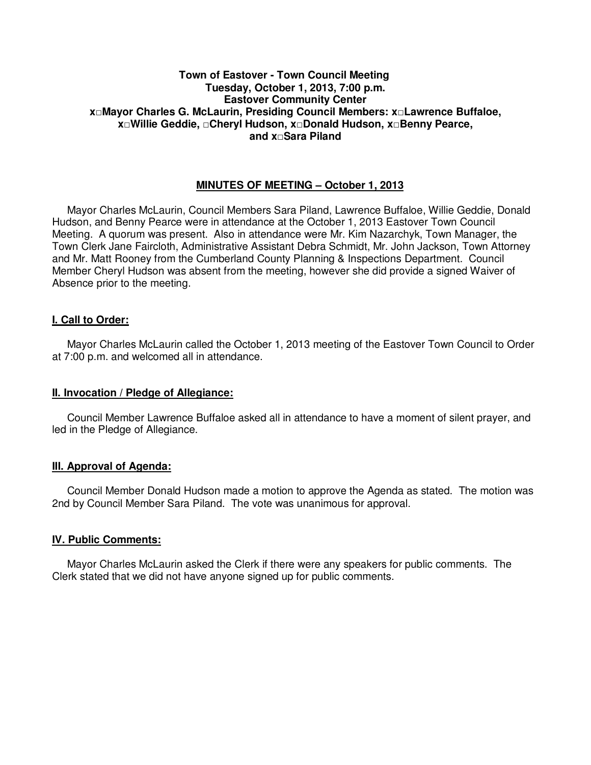### **Town of Eastover - Town Council Meeting Tuesday, October 1, 2013, 7:00 p.m. Eastover Community Center x□Mayor Charles G. McLaurin, Presiding Council Members: x□Lawrence Buffaloe, x□Willie Geddie, □Cheryl Hudson, x□Donald Hudson, x□Benny Pearce, and x□Sara Piland**

### **MINUTES OF MEETING – October 1, 2013**

 Mayor Charles McLaurin, Council Members Sara Piland, Lawrence Buffaloe, Willie Geddie, Donald Hudson, and Benny Pearce were in attendance at the October 1, 2013 Eastover Town Council Meeting. A quorum was present. Also in attendance were Mr. Kim Nazarchyk, Town Manager, the Town Clerk Jane Faircloth, Administrative Assistant Debra Schmidt, Mr. John Jackson, Town Attorney and Mr. Matt Rooney from the Cumberland County Planning & Inspections Department. Council Member Cheryl Hudson was absent from the meeting, however she did provide a signed Waiver of Absence prior to the meeting.

### **I. Call to Order:**

 Mayor Charles McLaurin called the October 1, 2013 meeting of the Eastover Town Council to Order at 7:00 p.m. and welcomed all in attendance.

#### **II. Invocation / Pledge of Allegiance:**

 Council Member Lawrence Buffaloe asked all in attendance to have a moment of silent prayer, and led in the Pledge of Allegiance.

#### **III. Approval of Agenda:**

 Council Member Donald Hudson made a motion to approve the Agenda as stated. The motion was 2nd by Council Member Sara Piland. The vote was unanimous for approval.

#### **IV. Public Comments:**

 Mayor Charles McLaurin asked the Clerk if there were any speakers for public comments. The Clerk stated that we did not have anyone signed up for public comments.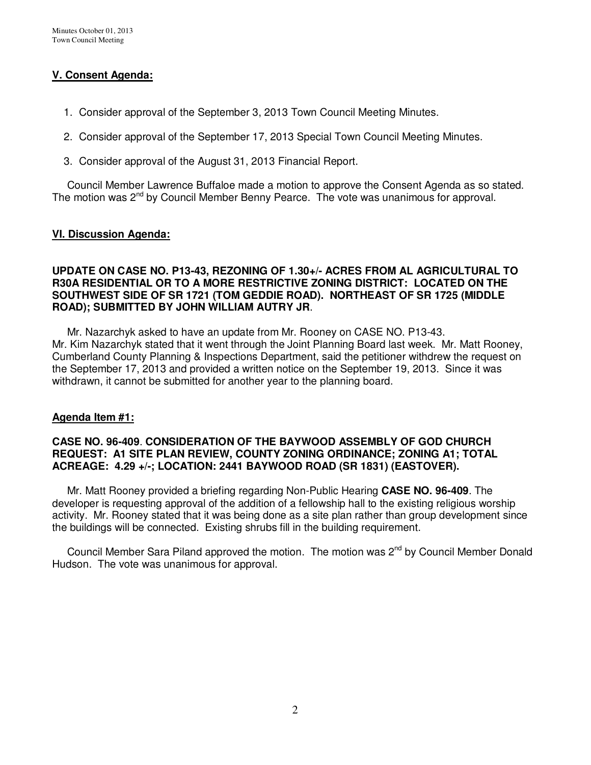## **V. Consent Agenda:**

- 1. Consider approval of the September 3, 2013 Town Council Meeting Minutes.
- 2. Consider approval of the September 17, 2013 Special Town Council Meeting Minutes.
- 3. Consider approval of the August 31, 2013 Financial Report.

 Council Member Lawrence Buffaloe made a motion to approve the Consent Agenda as so stated. The motion was 2<sup>nd</sup> by Council Member Benny Pearce. The vote was unanimous for approval.

### **VI. Discussion Agenda:**

### **UPDATE ON CASE NO. P13-43, REZONING OF 1.30+/- ACRES FROM AL AGRICULTURAL TO R30A RESIDENTIAL OR TO A MORE RESTRICTIVE ZONING DISTRICT: LOCATED ON THE SOUTHWEST SIDE OF SR 1721 (TOM GEDDIE ROAD). NORTHEAST OF SR 1725 (MIDDLE ROAD); SUBMITTED BY JOHN WILLIAM AUTRY JR**.

 Mr. Nazarchyk asked to have an update from Mr. Rooney on CASE NO. P13-43. Mr. Kim Nazarchyk stated that it went through the Joint Planning Board last week. Mr. Matt Rooney, Cumberland County Planning & Inspections Department, said the petitioner withdrew the request on the September 17, 2013 and provided a written notice on the September 19, 2013. Since it was withdrawn, it cannot be submitted for another year to the planning board.

### **Agenda Item #1:**

### **CASE NO. 96-409**. **CONSIDERATION OF THE BAYWOOD ASSEMBLY OF GOD CHURCH REQUEST: A1 SITE PLAN REVIEW, COUNTY ZONING ORDINANCE; ZONING A1; TOTAL ACREAGE: 4.29 +/-; LOCATION: 2441 BAYWOOD ROAD (SR 1831) (EASTOVER).**

Mr. Matt Rooney provided a briefing regarding Non-Public Hearing **CASE NO. 96-409**. The developer is requesting approval of the addition of a fellowship hall to the existing religious worship activity. Mr. Rooney stated that it was being done as a site plan rather than group development since the buildings will be connected. Existing shrubs fill in the building requirement.

Council Member Sara Piland approved the motion. The motion was 2<sup>nd</sup> by Council Member Donald Hudson. The vote was unanimous for approval.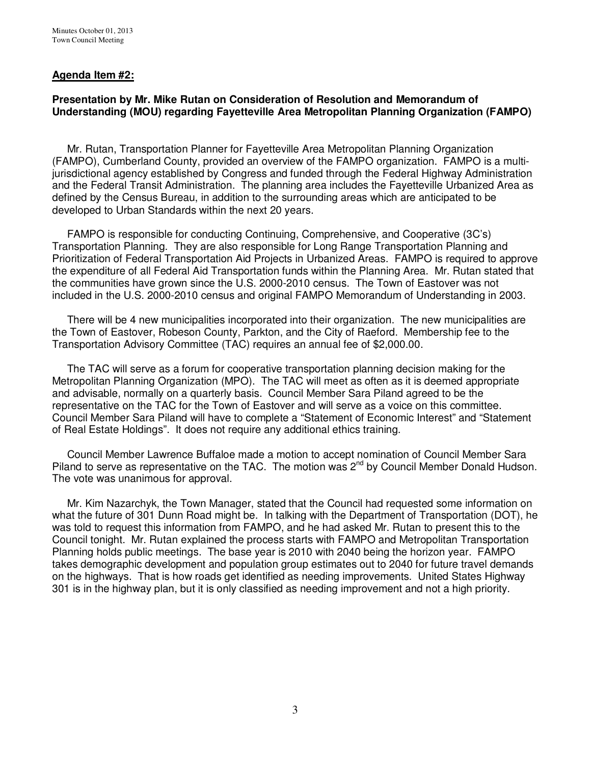### **Agenda Item #2:**

### **Presentation by Mr. Mike Rutan on Consideration of Resolution and Memorandum of Understanding (MOU) regarding Fayetteville Area Metropolitan Planning Organization (FAMPO)**

 Mr. Rutan, Transportation Planner for Fayetteville Area Metropolitan Planning Organization (FAMPO), Cumberland County, provided an overview of the FAMPO organization. FAMPO is a multijurisdictional agency established by Congress and funded through the Federal Highway Administration and the Federal Transit Administration. The planning area includes the Fayetteville Urbanized Area as defined by the Census Bureau, in addition to the surrounding areas which are anticipated to be developed to Urban Standards within the next 20 years.

 FAMPO is responsible for conducting Continuing, Comprehensive, and Cooperative (3C's) Transportation Planning. They are also responsible for Long Range Transportation Planning and Prioritization of Federal Transportation Aid Projects in Urbanized Areas. FAMPO is required to approve the expenditure of all Federal Aid Transportation funds within the Planning Area. Mr. Rutan stated that the communities have grown since the U.S. 2000-2010 census. The Town of Eastover was not included in the U.S. 2000-2010 census and original FAMPO Memorandum of Understanding in 2003.

 There will be 4 new municipalities incorporated into their organization. The new municipalities are the Town of Eastover, Robeson County, Parkton, and the City of Raeford. Membership fee to the Transportation Advisory Committee (TAC) requires an annual fee of \$2,000.00.

 The TAC will serve as a forum for cooperative transportation planning decision making for the Metropolitan Planning Organization (MPO). The TAC will meet as often as it is deemed appropriate and advisable, normally on a quarterly basis. Council Member Sara Piland agreed to be the representative on the TAC for the Town of Eastover and will serve as a voice on this committee. Council Member Sara Piland will have to complete a "Statement of Economic Interest" and "Statement of Real Estate Holdings". It does not require any additional ethics training.

 Council Member Lawrence Buffaloe made a motion to accept nomination of Council Member Sara Piland to serve as representative on the TAC. The motion was  $2^{nd}$  by Council Member Donald Hudson. The vote was unanimous for approval.

 Mr. Kim Nazarchyk, the Town Manager, stated that the Council had requested some information on what the future of 301 Dunn Road might be. In talking with the Department of Transportation (DOT), he was told to request this information from FAMPO, and he had asked Mr. Rutan to present this to the Council tonight. Mr. Rutan explained the process starts with FAMPO and Metropolitan Transportation Planning holds public meetings. The base year is 2010 with 2040 being the horizon year. FAMPO takes demographic development and population group estimates out to 2040 for future travel demands on the highways. That is how roads get identified as needing improvements. United States Highway 301 is in the highway plan, but it is only classified as needing improvement and not a high priority.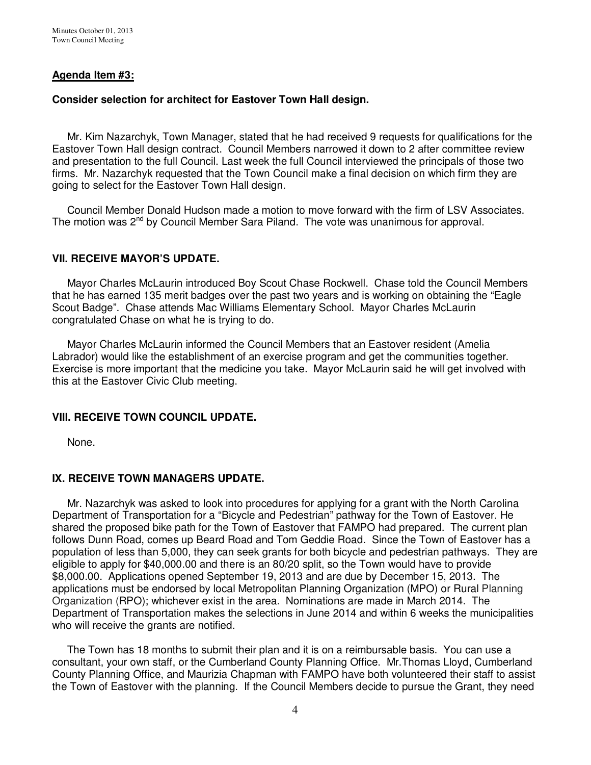### **Agenda Item #3:**

### **Consider selection for architect for Eastover Town Hall design.**

 Mr. Kim Nazarchyk, Town Manager, stated that he had received 9 requests for qualifications for the Eastover Town Hall design contract. Council Members narrowed it down to 2 after committee review and presentation to the full Council. Last week the full Council interviewed the principals of those two firms. Mr. Nazarchyk requested that the Town Council make a final decision on which firm they are going to select for the Eastover Town Hall design.

 Council Member Donald Hudson made a motion to move forward with the firm of LSV Associates. The motion was 2<sup>nd</sup> by Council Member Sara Piland. The vote was unanimous for approval.

#### **VII. RECEIVE MAYOR'S UPDATE.**

Mayor Charles McLaurin introduced Boy Scout Chase Rockwell. Chase told the Council Members that he has earned 135 merit badges over the past two years and is working on obtaining the "Eagle Scout Badge". Chase attends Mac Williams Elementary School. Mayor Charles McLaurin congratulated Chase on what he is trying to do.

 Mayor Charles McLaurin informed the Council Members that an Eastover resident (Amelia Labrador) would like the establishment of an exercise program and get the communities together. Exercise is more important that the medicine you take. Mayor McLaurin said he will get involved with this at the Eastover Civic Club meeting.

#### **VIII. RECEIVE TOWN COUNCIL UPDATE.**

None.

#### **IX. RECEIVE TOWN MANAGERS UPDATE.**

 Mr. Nazarchyk was asked to look into procedures for applying for a grant with the North Carolina Department of Transportation for a "Bicycle and Pedestrian" pathway for the Town of Eastover. He shared the proposed bike path for the Town of Eastover that FAMPO had prepared. The current plan follows Dunn Road, comes up Beard Road and Tom Geddie Road. Since the Town of Eastover has a population of less than 5,000, they can seek grants for both bicycle and pedestrian pathways. They are eligible to apply for \$40,000.00 and there is an 80/20 split, so the Town would have to provide \$8,000.00. Applications opened September 19, 2013 and are due by December 15, 2013. The applications must be endorsed by local Metropolitan Planning Organization (MPO) or Rural Planning Organization (RPO); whichever exist in the area. Nominations are made in March 2014. The Department of Transportation makes the selections in June 2014 and within 6 weeks the municipalities who will receive the grants are notified.

 The Town has 18 months to submit their plan and it is on a reimbursable basis. You can use a consultant, your own staff, or the Cumberland County Planning Office. Mr.Thomas Lloyd, Cumberland County Planning Office, and Maurizia Chapman with FAMPO have both volunteered their staff to assist the Town of Eastover with the planning. If the Council Members decide to pursue the Grant, they need